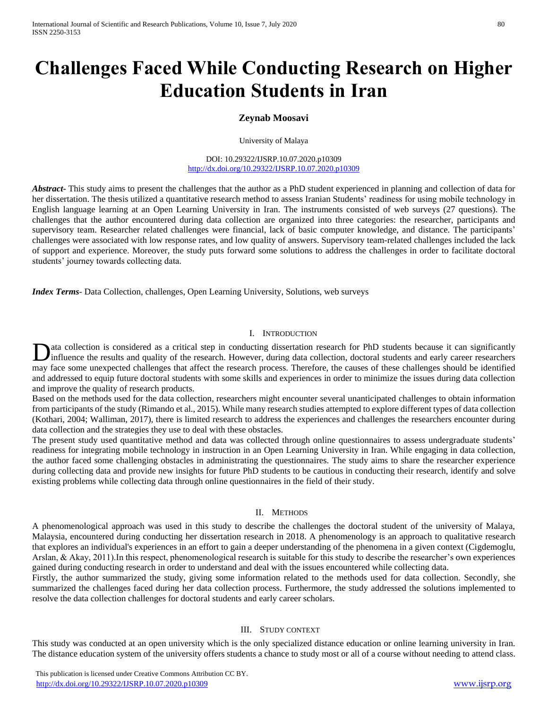# **Challenges Faced While Conducting Research on Higher Education Students in Iran**

# **Zeynab Moosavi**

University of Malaya

DOI: 10.29322/IJSRP.10.07.2020.p10309 <http://dx.doi.org/10.29322/IJSRP.10.07.2020.p10309>

*Abstract***-** This study aims to present the challenges that the author as a PhD student experienced in planning and collection of data for her dissertation. The thesis utilized a quantitative research method to assess Iranian Students' readiness for using mobile technology in English language learning at an Open Learning University in Iran. The instruments consisted of web surveys (27 questions). The challenges that the author encountered during data collection are organized into three categories: the researcher, participants and supervisory team. Researcher related challenges were financial, lack of basic computer knowledge, and distance. The participants' challenges were associated with low response rates, and low quality of answers. Supervisory team-related challenges included the lack of support and experience. Moreover, the study puts forward some solutions to address the challenges in order to facilitate doctoral students' journey towards collecting data.

*Index Terms*- Data Collection, challenges, Open Learning University, Solutions, web surveys

#### I. INTRODUCTION

ata collection is considered as a critical step in conducting dissertation research for PhD students because it can significantly Data collection is considered as a critical step in conducting dissertation research for PhD students because it can significantly influence the results and quality of the research. However, during data collection, doctora may face some unexpected challenges that affect the research process. Therefore, the causes of these challenges should be identified and addressed to equip future doctoral students with some skills and experiences in order to minimize the issues during data collection and improve the quality of research products.

Based on the methods used for the data collection, researchers might encounter several unanticipated challenges to obtain information from participants of the study (Rimando et al., 2015). While many research studies attempted to explore different types of data collection (Kothari, 2004; Walliman, 2017), there is limited research to address the experiences and challenges the researchers encounter during data collection and the strategies they use to deal with these obstacles.

The present study used quantitative method and data was collected through online questionnaires to assess undergraduate students' readiness for integrating mobile technology in instruction in an Open Learning University in Iran. While engaging in data collection, the author faced some challenging obstacles in administrating the questionnaires. The study aims to share the researcher experience during collecting data and provide new insights for future PhD students to be cautious in conducting their research, identify and solve existing problems while collecting data through online questionnaires in the field of their study.

#### II. METHODS

A phenomenological approach was used in this study to describe the challenges the doctoral student of the university of Malaya, Malaysia, encountered during conducting her dissertation research in 2018. A phenomenology is an approach to qualitative research that explores an individual's experiences in an effort to gain a deeper understanding of the phenomena in a given context (Cigdemoglu, Arslan, & Akay, 2011).In this respect, phenomenological research is suitable for this study to describe the researcher's own experiences gained during conducting research in order to understand and deal with the issues encountered while collecting data.

Firstly, the author summarized the study, giving some information related to the methods used for data collection. Secondly, she summarized the challenges faced during her data collection process. Furthermore, the study addressed the solutions implemented to resolve the data collection challenges for doctoral students and early career scholars.

## III. STUDY CONTEXT

This study was conducted at an open university which is the only specialized distance education or online learning university in Iran. The distance education system of the university offers students a chance to study most or all of a course without needing to attend class.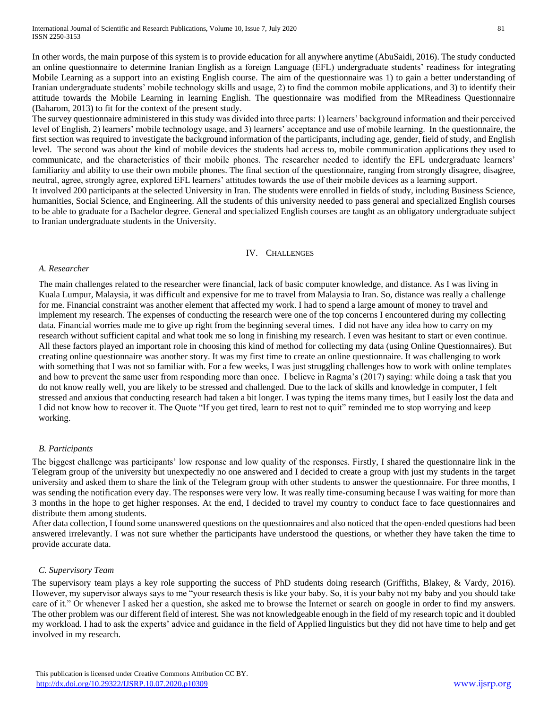In other words, the main purpose of this system is to provide education for all anywhere anytime (AbuSaidi, 2016). The study conducted an online questionnaire to determine Iranian English as a foreign Language (EFL) undergraduate students' readiness for integrating Mobile Learning as a support into an existing English course. The aim of the questionnaire was 1) to gain a better understanding of Iranian undergraduate students' mobile technology skills and usage, 2) to find the common mobile applications, and 3) to identify their attitude towards the Mobile Learning in learning English. The questionnaire was modified from the MReadiness Questionnaire (Baharom, 2013) to fit for the context of the present study.

The survey questionnaire administered in this study was divided into three parts: 1) learners' background information and their perceived level of English, 2) learners' mobile technology usage, and 3) learners' acceptance and use of mobile learning. In the questionnaire, the first section was required to investigate the background information of the participants, including age, gender, field of study, and English level. The second was about the kind of mobile devices the students had access to, mobile communication applications they used to communicate, and the characteristics of their mobile phones. The researcher needed to identify the EFL undergraduate learners' familiarity and ability to use their own mobile phones. The final section of the questionnaire, ranging from strongly disagree, disagree, neutral, agree, strongly agree, explored EFL learners' attitudes towards the use of their mobile devices as a learning support.

It involved 200 participants at the selected University in Iran. The students were enrolled in fields of study, including Business Science, humanities, Social Science, and Engineering. All the students of this university needed to pass general and specialized English courses to be able to graduate for a Bachelor degree. General and specialized English courses are taught as an obligatory undergraduate subject to Iranian undergraduate students in the University.

#### IV. CHALLENGES

#### *A. Researcher*

The main challenges related to the researcher were financial, lack of basic computer knowledge, and distance. As I was living in Kuala Lumpur, Malaysia, it was difficult and expensive for me to travel from Malaysia to Iran. So, distance was really a challenge for me. Financial constraint was another element that affected my work. I had to spend a large amount of money to travel and implement my research. The expenses of conducting the research were one of the top concerns I encountered during my collecting data. Financial worries made me to give up right from the beginning several times. I did not have any idea how to carry on my research without sufficient capital and what took me so long in finishing my research. I even was hesitant to start or even continue. All these factors played an important role in choosing this kind of method for collecting my data (using Online Questionnaires). But creating online questionnaire was another story. It was my first time to create an online questionnaire. It was challenging to work with something that I was not so familiar with. For a few weeks, I was just struggling challenges how to work with online templates and how to prevent the same user from responding more than once. I believe in Ragma's (2017) saying: while doing a task that you do not know really well, you are likely to be stressed and challenged. Due to the lack of skills and knowledge in computer, I felt stressed and anxious that conducting research had taken a bit longer. I was typing the items many times, but I easily lost the data and I did not know how to recover it. The Quote "If you get tired, learn to rest not to quit" reminded me to stop worrying and keep working.

#### *B. Participants*

The biggest challenge was participants' low response and low quality of the responses. Firstly, I shared the questionnaire link in the Telegram group of the university but unexpectedly no one answered and I decided to create a group with just my students in the target university and asked them to share the link of the Telegram group with other students to answer the questionnaire. For three months, I was sending the notification every day. The responses were very low. It was really time-consuming because I was waiting for more than 3 months in the hope to get higher responses. At the end, I decided to travel my country to conduct face to face questionnaires and distribute them among students.

After data collection, I found some unanswered questions on the questionnaires and also noticed that the open-ended questions had been answered irrelevantly. I was not sure whether the participants have understood the questions, or whether they have taken the time to provide accurate data.

#### *C. Supervisory Team*

The supervisory team plays a key role supporting the success of PhD students doing research (Griffiths, Blakey, & Vardy, 2016). However, my supervisor always says to me "your research thesis is like your baby. So, it is your baby not my baby and you should take care of it." Or whenever I asked her a question, she asked me to browse the Internet or search on google in order to find my answers. The other problem was our different field of interest. She was not knowledgeable enough in the field of my research topic and it doubled my workload. I had to ask the experts' advice and guidance in the field of Applied linguistics but they did not have time to help and get involved in my research.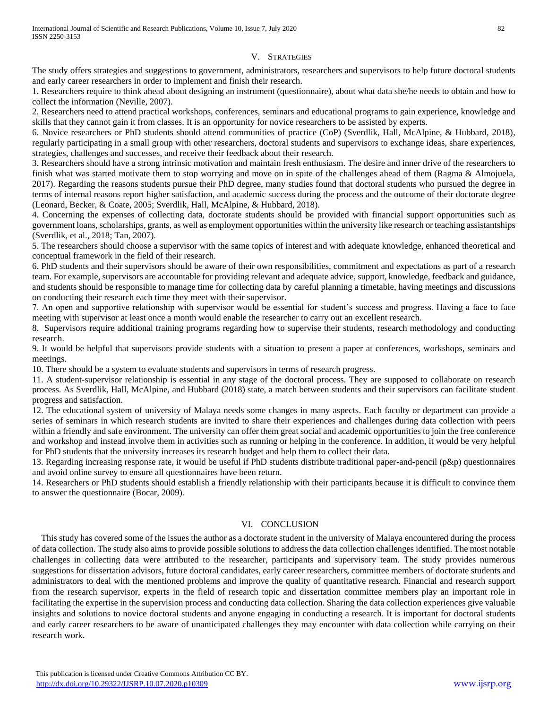### V. STRATEGIES

The study offers strategies and suggestions to government, administrators, researchers and supervisors to help future doctoral students and early career researchers in order to implement and finish their research.

1. Researchers require to think ahead about designing an instrument (questionnaire), about what data she/he needs to obtain and how to collect the information (Neville, 2007).

2. Researchers need to attend practical workshops, conferences, seminars and educational programs to gain experience, knowledge and skills that they cannot gain it from classes. It is an opportunity for novice researchers to be assisted by experts.

6. Novice researchers or PhD students should attend communities of practice (CoP) (Sverdlik, Hall, McAlpine, & Hubbard, 2018), regularly participating in a small group with other researchers, doctoral students and supervisors to exchange ideas, share experiences, strategies, challenges and successes, and receive their feedback about their research.

3. Researchers should have a strong intrinsic motivation and maintain fresh enthusiasm. The desire and inner drive of the researchers to finish what was started motivate them to stop worrying and move on in spite of the challenges ahead of them (Ragma & Almojuela, 2017). Regarding the reasons students pursue their PhD degree, many studies found that doctoral students who pursued the degree in terms of internal reasons report higher satisfaction, and academic success during the process and the outcome of their doctorate degree (Leonard, Becker, & Coate, 2005; Sverdlik, Hall, McAlpine, & Hubbard, 2018).

4. Concerning the expenses of collecting data, doctorate students should be provided with financial support opportunities such as government loans, scholarships, grants, as well as employment opportunities within the university like research or teaching assistantships (Sverdlik, et al., 2018; Tan, 2007).

5. The researchers should choose a supervisor with the same topics of interest and with adequate knowledge, enhanced theoretical and conceptual framework in the field of their research.

6. PhD students and their supervisors should be aware of their own responsibilities, commitment and expectations as part of a research team. For example, supervisors are accountable for providing relevant and adequate advice, support, knowledge, feedback and guidance, and students should be responsible to manage time for collecting data by careful planning a timetable, having meetings and discussions on conducting their research each time they meet with their supervisor.

7. An open and supportive relationship with supervisor would be essential for student's success and progress. Having a face to face meeting with supervisor at least once a month would enable the researcher to carry out an excellent research.

8. Supervisors require additional training programs regarding how to supervise their students, research methodology and conducting research.

9. It would be helpful that supervisors provide students with a situation to present a paper at conferences, workshops, seminars and meetings.

10. There should be a system to evaluate students and supervisors in terms of research progress.

11. A student-supervisor relationship is essential in any stage of the doctoral process. They are supposed to collaborate on research process. As Sverdlik, Hall, McAlpine, and Hubbard (2018) state, a match between students and their supervisors can facilitate student progress and satisfaction.

12. The educational system of university of Malaya needs some changes in many aspects. Each faculty or department can provide a series of seminars in which research students are invited to share their experiences and challenges during data collection with peers within a friendly and safe environment. The university can offer them great social and academic opportunities to join the free conference and workshop and instead involve them in activities such as running or helping in the conference. In addition, it would be very helpful for PhD students that the university increases its research budget and help them to collect their data.

13. Regarding increasing response rate, it would be useful if PhD students distribute traditional paper-and-pencil (p&p) questionnaires and avoid online survey to ensure all questionnaires have been return.

14. Researchers or PhD students should establish a friendly relationship with their participants because it is difficult to convince them to answer the questionnaire (Bocar, 2009).

# VI. CONCLUSION

This study has covered some of the issues the author as a doctorate student in the university of Malaya encountered during the process of data collection. The study also aims to provide possible solutions to address the data collection challenges identified. The most notable challenges in collecting data were attributed to the researcher, participants and supervisory team. The study provides numerous suggestions for dissertation advisors, future doctoral candidates, early career researchers, committee members of doctorate students and administrators to deal with the mentioned problems and improve the quality of quantitative research. Financial and research support from the research supervisor, experts in the field of research topic and dissertation committee members play an important role in facilitating the expertise in the supervision process and conducting data collection. Sharing the data collection experiences give valuable insights and solutions to novice doctoral students and anyone engaging in conducting a research. It is important for doctoral students and early career researchers to be aware of unanticipated challenges they may encounter with data collection while carrying on their research work.